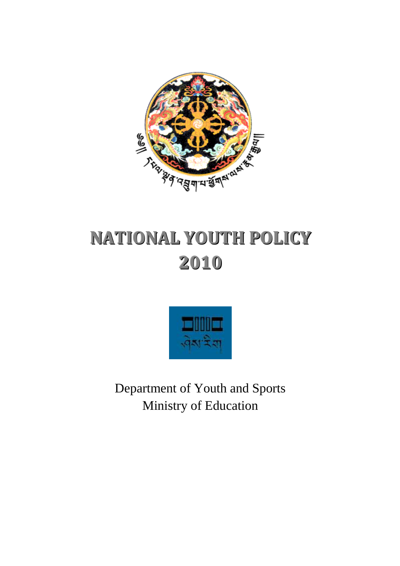

# **NATIONAL YOUTH POLICY 2010**



Department of Youth and Sports Ministry of Education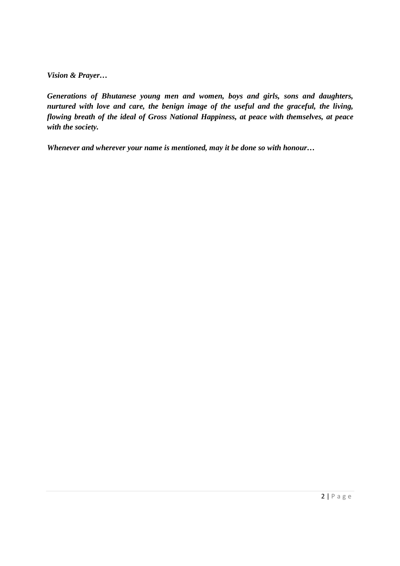*Vision & Prayer…* 

*Generations of Bhutanese young men and women, boys and girls, sons and daughters, nurtured with love and care, the benign image of the useful and the graceful, the living, flowing breath of the ideal of Gross National Happiness, at peace with themselves, at peace with the society.* 

*Whenever and wherever your name is mentioned, may it be done so with honour…*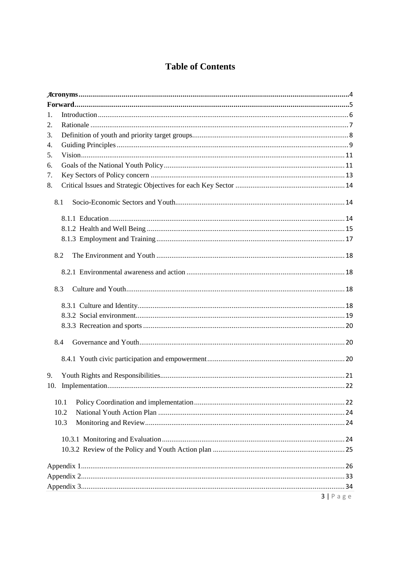### **Table of Contents**

| 1.<br>2.<br>3.<br>4.<br>5.<br>6.<br>7.<br>8.<br>8.1<br>8.2<br>8.3<br>8.4<br>9.<br>10.<br>10.1<br>10.2<br>10.3<br>$3   P \text{ a } g \text{ e}$ |  |
|-------------------------------------------------------------------------------------------------------------------------------------------------|--|
|                                                                                                                                                 |  |
|                                                                                                                                                 |  |
|                                                                                                                                                 |  |
|                                                                                                                                                 |  |
|                                                                                                                                                 |  |
|                                                                                                                                                 |  |
|                                                                                                                                                 |  |
|                                                                                                                                                 |  |
|                                                                                                                                                 |  |
|                                                                                                                                                 |  |
|                                                                                                                                                 |  |
|                                                                                                                                                 |  |
|                                                                                                                                                 |  |
|                                                                                                                                                 |  |
|                                                                                                                                                 |  |
|                                                                                                                                                 |  |
|                                                                                                                                                 |  |
|                                                                                                                                                 |  |
|                                                                                                                                                 |  |
|                                                                                                                                                 |  |
|                                                                                                                                                 |  |
|                                                                                                                                                 |  |
|                                                                                                                                                 |  |
|                                                                                                                                                 |  |
|                                                                                                                                                 |  |
|                                                                                                                                                 |  |
|                                                                                                                                                 |  |
|                                                                                                                                                 |  |
|                                                                                                                                                 |  |
|                                                                                                                                                 |  |
|                                                                                                                                                 |  |
|                                                                                                                                                 |  |
|                                                                                                                                                 |  |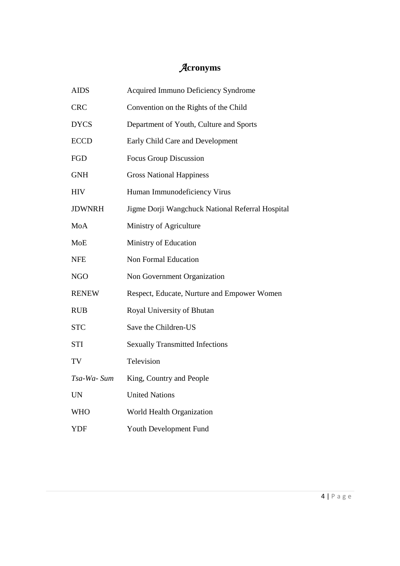# *A***cronyms**

| <b>AIDS</b>   | Acquired Immuno Deficiency Syndrome              |
|---------------|--------------------------------------------------|
| <b>CRC</b>    | Convention on the Rights of the Child            |
| <b>DYCS</b>   | Department of Youth, Culture and Sports          |
| <b>ECCD</b>   | Early Child Care and Development                 |
| <b>FGD</b>    | <b>Focus Group Discussion</b>                    |
| <b>GNH</b>    | <b>Gross National Happiness</b>                  |
| <b>HIV</b>    | Human Immunodeficiency Virus                     |
| <b>JDWNRH</b> | Jigme Dorji Wangchuck National Referral Hospital |
| MoA           | Ministry of Agriculture                          |
| <b>MoE</b>    | Ministry of Education                            |
| <b>NFE</b>    | Non Formal Education                             |
| <b>NGO</b>    | Non Government Organization                      |
| <b>RENEW</b>  | Respect, Educate, Nurture and Empower Women      |
| <b>RUB</b>    | Royal University of Bhutan                       |
| <b>STC</b>    | Save the Children-US                             |
| <b>STI</b>    | <b>Sexually Transmitted Infections</b>           |
| TV            | Television                                       |
| Tsa-Wa- Sum   | King, Country and People                         |
| <b>UN</b>     | <b>United Nations</b>                            |
| <b>WHO</b>    | World Health Organization                        |
| <b>YDF</b>    | Youth Development Fund                           |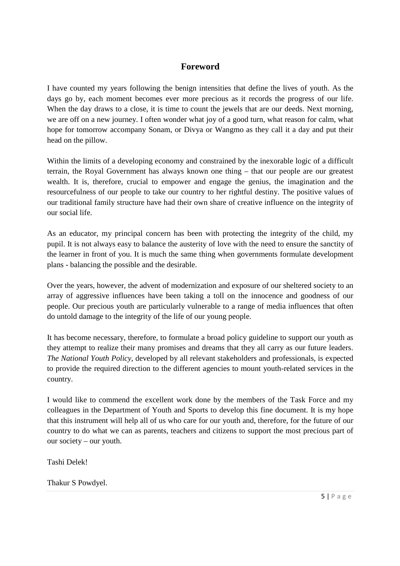### **Foreword**

I have counted my years following the benign intensities that define the lives of youth. As the days go by, each moment becomes ever more precious as it records the progress of our life. When the day draws to a close, it is time to count the jewels that are our deeds. Next morning, we are off on a new journey. I often wonder what joy of a good turn, what reason for calm, what hope for tomorrow accompany Sonam, or Divya or Wangmo as they call it a day and put their head on the pillow.

Within the limits of a developing economy and constrained by the inexorable logic of a difficult terrain, the Royal Government has always known one thing – that our people are our greatest wealth. It is, therefore, crucial to empower and engage the genius, the imagination and the resourcefulness of our people to take our country to her rightful destiny. The positive values of our traditional family structure have had their own share of creative influence on the integrity of our social life.

As an educator, my principal concern has been with protecting the integrity of the child, my pupil. It is not always easy to balance the austerity of love with the need to ensure the sanctity of the learner in front of you. It is much the same thing when governments formulate development plans - balancing the possible and the desirable.

Over the years, however, the advent of modernization and exposure of our sheltered society to an array of aggressive influences have been taking a toll on the innocence and goodness of our people. Our precious youth are particularly vulnerable to a range of media influences that often do untold damage to the integrity of the life of our young people.

It has become necessary, therefore, to formulate a broad policy guideline to support our youth as they attempt to realize their many promises and dreams that they all carry as our future leaders. *The National Youth Policy*, developed by all relevant stakeholders and professionals, is expected to provide the required direction to the different agencies to mount youth-related services in the country.

I would like to commend the excellent work done by the members of the Task Force and my colleagues in the Department of Youth and Sports to develop this fine document. It is my hope that this instrument will help all of us who care for our youth and, therefore, for the future of our country to do what we can as parents, teachers and citizens to support the most precious part of our society – our youth.

Tashi Delek!

Thakur S Powdyel.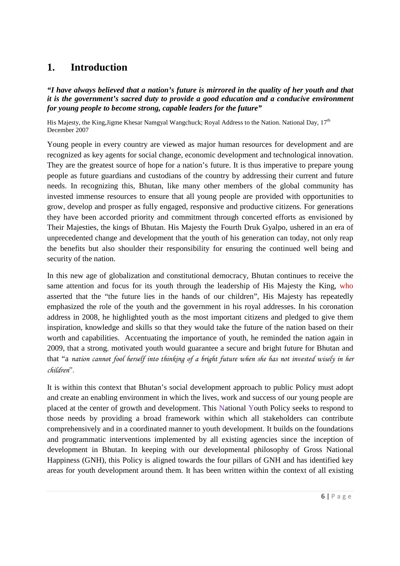### **1. Introduction**

*"I have always believed that a nation's future is mirrored in the quality of her youth and that it is the government's sacred duty to provide a good education and a conducive environment for young people to become strong, capable leaders for the future"* 

His Majesty, the King,Jigme Khesar Namgyal Wangchuck; Royal Address to the Nation. National Day, 17<sup>th</sup> December 2007

Young people in every country are viewed as major human resources for development and are recognized as key agents for social change, economic development and technological innovation. They are the greatest source of hope for a nation's future. It is thus imperative to prepare young people as future guardians and custodians of the country by addressing their current and future needs. In recognizing this, Bhutan, like many other members of the global community has invested immense resources to ensure that all young people are provided with opportunities to grow, develop and prosper as fully engaged, responsive and productive citizens. For generations they have been accorded priority and commitment through concerted efforts as envisioned by Their Majesties, the kings of Bhutan. His Majesty the Fourth Druk Gyalpo, ushered in an era of unprecedented change and development that the youth of his generation can today, not only reap the benefits but also shoulder their responsibility for ensuring the continued well being and security of the nation.

In this new age of globalization and constitutional democracy, Bhutan continues to receive the same attention and focus for its youth through the leadership of His Majesty the King, who asserted that the "the future lies in the hands of our children", His Majesty has repeatedly emphasized the role of the youth and the government in his royal addresses. In his coronation address in 2008, he highlighted youth as the most important citizens and pledged to give them inspiration, knowledge and skills so that they would take the future of the nation based on their worth and capabilities. Accentuating the importance of youth, he reminded the nation again in 2009, that a strong, motivated youth would guarantee a secure and bright future for Bhutan and that "a *nation cannot fool herself into thinking of a bright future when she has not invested wisely in her children*".

It is within this context that Bhutan's social development approach to public Policy must adopt and create an enabling environment in which the lives, work and success of our young people are placed at the center of growth and development. This National Youth Policy seeks to respond to those needs by providing a broad framework within which all stakeholders can contribute comprehensively and in a coordinated manner to youth development. It builds on the foundations and programmatic interventions implemented by all existing agencies since the inception of development in Bhutan. In keeping with our developmental philosophy of Gross National Happiness (GNH), this Policy is aligned towards the four pillars of GNH and has identified key areas for youth development around them. It has been written within the context of all existing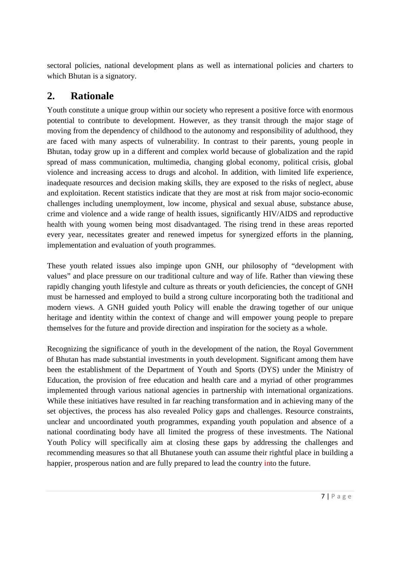sectoral policies, national development plans as well as international policies and charters to which Bhutan is a signatory.

### **2. Rationale**

Youth constitute a unique group within our society who represent a positive force with enormous potential to contribute to development. However, as they transit through the major stage of moving from the dependency of childhood to the autonomy and responsibility of adulthood, they are faced with many aspects of vulnerability. In contrast to their parents, young people in Bhutan, today grow up in a different and complex world because of globalization and the rapid spread of mass communication, multimedia, changing global economy, political crisis, global violence and increasing access to drugs and alcohol. In addition, with limited life experience, inadequate resources and decision making skills, they are exposed to the risks of neglect, abuse and exploitation. Recent statistics indicate that they are most at risk from major socio-economic challenges including unemployment, low income, physical and sexual abuse, substance abuse, crime and violence and a wide range of health issues, significantly HIV/AIDS and reproductive health with young women being most disadvantaged. The rising trend in these areas reported every year, necessitates greater and renewed impetus for synergized efforts in the planning, implementation and evaluation of youth programmes.

These youth related issues also impinge upon GNH, our philosophy of "development with values" and place pressure on our traditional culture and way of life. Rather than viewing these rapidly changing youth lifestyle and culture as threats or youth deficiencies, the concept of GNH must be harnessed and employed to build a strong culture incorporating both the traditional and modern views. A GNH guided youth Policy will enable the drawing together of our unique heritage and identity within the context of change and will empower young people to prepare themselves for the future and provide direction and inspiration for the society as a whole.

Recognizing the significance of youth in the development of the nation, the Royal Government of Bhutan has made substantial investments in youth development. Significant among them have been the establishment of the Department of Youth and Sports (DYS) under the Ministry of Education, the provision of free education and health care and a myriad of other programmes implemented through various national agencies in partnership with international organizations. While these initiatives have resulted in far reaching transformation and in achieving many of the set objectives, the process has also revealed Policy gaps and challenges. Resource constraints, unclear and uncoordinated youth programmes, expanding youth population and absence of a national coordinating body have all limited the progress of these investments. The National Youth Policy will specifically aim at closing these gaps by addressing the challenges and recommending measures so that all Bhutanese youth can assume their rightful place in building a happier, prosperous nation and are fully prepared to lead the country into the future.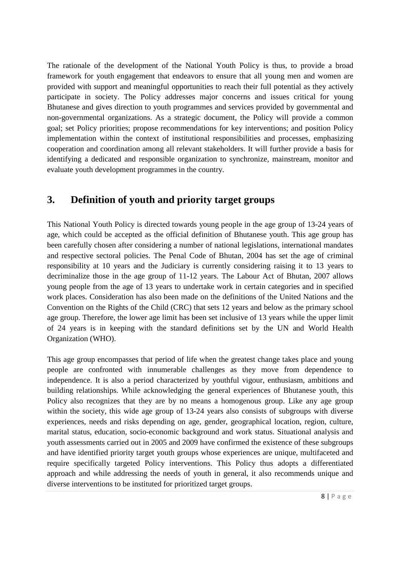The rationale of the development of the National Youth Policy is thus, to provide a broad framework for youth engagement that endeavors to ensure that all young men and women are provided with support and meaningful opportunities to reach their full potential as they actively participate in society. The Policy addresses major concerns and issues critical for young Bhutanese and gives direction to youth programmes and services provided by governmental and non-governmental organizations. As a strategic document, the Policy will provide a common goal; set Policy priorities; propose recommendations for key interventions; and position Policy implementation within the context of institutional responsibilities and processes, emphasizing cooperation and coordination among all relevant stakeholders. It will further provide a basis for identifying a dedicated and responsible organization to synchronize, mainstream, monitor and evaluate youth development programmes in the country.

### **3. Definition of youth and priority target groups**

This National Youth Policy is directed towards young people in the age group of 13-24 years of age, which could be accepted as the official definition of Bhutanese youth. This age group has been carefully chosen after considering a number of national legislations, international mandates and respective sectoral policies. The Penal Code of Bhutan, 2004 has set the age of criminal responsibility at 10 years and the Judiciary is currently considering raising it to 13 years to decriminalize those in the age group of 11-12 years. The Labour Act of Bhutan, 2007 allows young people from the age of 13 years to undertake work in certain categories and in specified work places. Consideration has also been made on the definitions of the United Nations and the Convention on the Rights of the Child (CRC) that sets 12 years and below as the primary school age group. Therefore, the lower age limit has been set inclusive of 13 years while the upper limit of 24 years is in keeping with the standard definitions set by the UN and World Health Organization (WHO).

This age group encompasses that period of life when the greatest change takes place and young people are confronted with innumerable challenges as they move from dependence to independence. It is also a period characterized by youthful vigour, enthusiasm, ambitions and building relationships. While acknowledging the general experiences of Bhutanese youth, this Policy also recognizes that they are by no means a homogenous group. Like any age group within the society, this wide age group of 13-24 years also consists of subgroups with diverse experiences, needs and risks depending on age, gender, geographical location, region, culture, marital status, education, socio-economic background and work status. Situational analysis and youth assessments carried out in 2005 and 2009 have confirmed the existence of these subgroups and have identified priority target youth groups whose experiences are unique, multifaceted and require specifically targeted Policy interventions. This Policy thus adopts a differentiated approach and while addressing the needs of youth in general, it also recommends unique and diverse interventions to be instituted for prioritized target groups.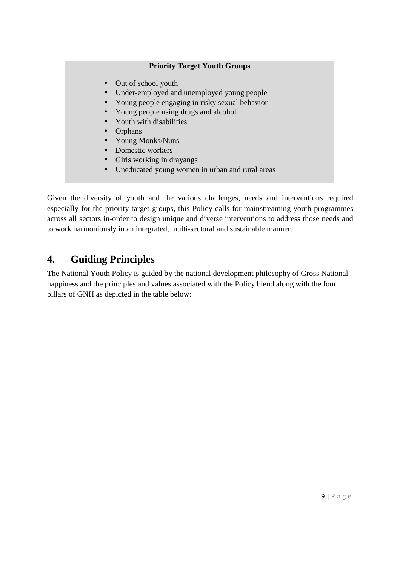### **Priority Target Youth Groups**

- Out of school youth
- Under-employed and unemployed young people
- Young people engaging in risky sexual behavior
- Young people using drugs and alcohol
- Youth with disabilities
- Orphans
- Young Monks/Nuns
- Domestic workers
- Girls working in drayangs
- Uneducated young women in urban and rural areas

Given the diversity of youth and the various challenges, needs and interventions required especially for the priority target groups, this Policy calls for mainstreaming youth programmes across all sectors in-order to design unique and diverse interventions to address those needs and to work harmoniously in an integrated, multi-sectoral and sustainable manner.

### **4. Guiding Principles**

The National Youth Policy is guided by the national development philosophy of Gross National happiness and the principles and values associated with the Policy blend along with the four pillars of GNH as depicted in the table below: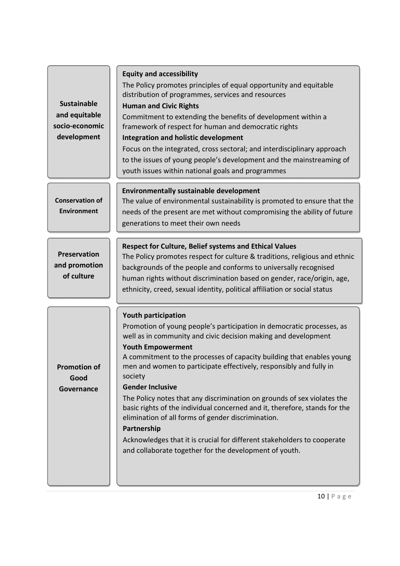| <b>Sustainable</b> |
|--------------------|
| and equitable      |
| socio-economic     |
| development        |

#### **Equity and accessibility**

The Policy promotes principles of equal opportunity and equitable distribution of programmes, services and resources

#### **Human and Civic Rights**

Commitment to extending the benefits of development within a framework of respect for human and democratic rights

#### **Integration and holistic development**

Focus on the integrated, cross sectoral; and interdisciplinary approach to the issues of young people's development and the mainstreaming of youth issues within national goals and programmes

### **Environmentally sustainable development**

**Conservation of Environment** 

The value of environmental sustainability is promoted to ensure that the needs of the present are met without compromising the ability of future generations to meet their own needs

### **Respect for Culture, Belief systems and Ethical Values**

**Preservation and promotion of culture**

**Promotion of Good Governance**

The Policy promotes respect for culture & traditions, religious and ethnic backgrounds of the people and conforms to universally recognised human rights without discrimination based on gender, race/origin, age, ethnicity, creed, sexual identity, political affiliation or social status

|  | <b>Youth participation</b> |
|--|----------------------------|
|--|----------------------------|

Promotion of young people's participation in democratic processes, as well as in community and civic decision making and development

### **Youth Empowerment**

A commitment to the processes of capacity building that enables young men and women to participate effectively, responsibly and fully in society

### **Gender Inclusive**

The Policy notes that any discrimination on grounds of sex violates the basic rights of the individual concerned and it, therefore, stands for the elimination of all forms of gender discrimination.

### **Partnership**

Acknowledges that it is crucial for different stakeholders to cooperate and collaborate together for the development of youth.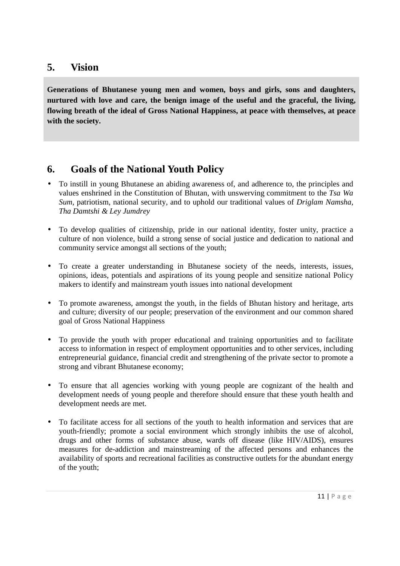### **5. Vision**

**Generations of Bhutanese young men and women, boys and girls, sons and daughters, nurtured with love and care, the benign image of the useful and the graceful, the living, flowing breath of the ideal of Gross National Happiness, at peace with themselves, at peace with the society.** 

### **6. Goals of the National Youth Policy**

- To instill in young Bhutanese an abiding awareness of, and adherence to, the principles and values enshrined in the Constitution of Bhutan, with unswerving commitment to the *Tsa Wa Sum*, patriotism, national security, and to uphold our traditional values of *Driglam Namsha, Tha Damtshi & Ley Jumdrey*
- To develop qualities of citizenship, pride in our national identity, foster unity, practice a culture of non violence, build a strong sense of social justice and dedication to national and community service amongst all sections of the youth;
- To create a greater understanding in Bhutanese society of the needs, interests, issues, opinions, ideas, potentials and aspirations of its young people and sensitize national Policy makers to identify and mainstream youth issues into national development
- To promote awareness, amongst the youth, in the fields of Bhutan history and heritage, arts and culture; diversity of our people; preservation of the environment and our common shared goal of Gross National Happiness
- To provide the youth with proper educational and training opportunities and to facilitate access to information in respect of employment opportunities and to other services, including entrepreneurial guidance, financial credit and strengthening of the private sector to promote a strong and vibrant Bhutanese economy;
- To ensure that all agencies working with young people are cognizant of the health and development needs of young people and therefore should ensure that these youth health and development needs are met.
- To facilitate access for all sections of the youth to health information and services that are youth-friendly; promote a social environment which strongly inhibits the use of alcohol, drugs and other forms of substance abuse, wards off disease (like HIV/AIDS), ensures measures for de-addiction and mainstreaming of the affected persons and enhances the availability of sports and recreational facilities as constructive outlets for the abundant energy of the youth;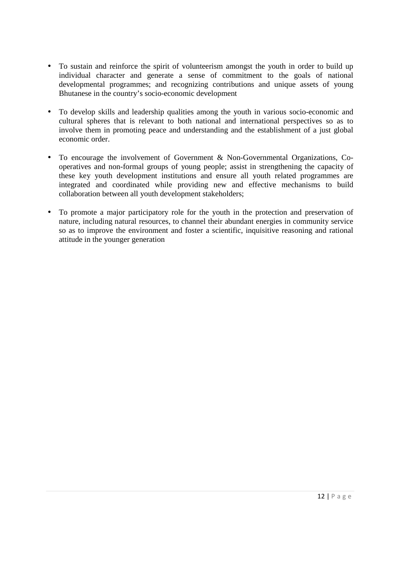- To sustain and reinforce the spirit of volunteerism amongst the youth in order to build up individual character and generate a sense of commitment to the goals of national developmental programmes; and recognizing contributions and unique assets of young Bhutanese in the country's socio-economic development
- To develop skills and leadership qualities among the youth in various socio-economic and cultural spheres that is relevant to both national and international perspectives so as to involve them in promoting peace and understanding and the establishment of a just global economic order.
- To encourage the involvement of Government & Non-Governmental Organizations, Cooperatives and non-formal groups of young people; assist in strengthening the capacity of these key youth development institutions and ensure all youth related programmes are integrated and coordinated while providing new and effective mechanisms to build collaboration between all youth development stakeholders;
- To promote a major participatory role for the youth in the protection and preservation of nature, including natural resources, to channel their abundant energies in community service so as to improve the environment and foster a scientific, inquisitive reasoning and rational attitude in the younger generation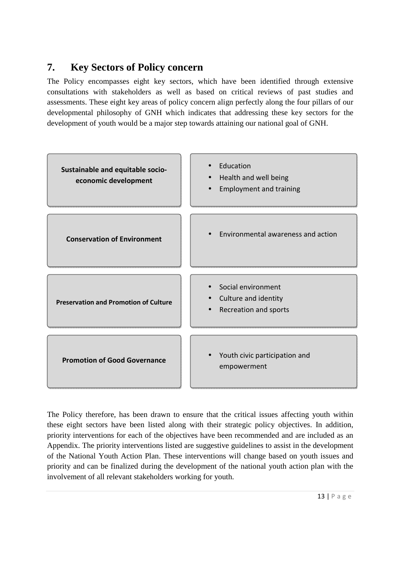### **7. Key Sectors of Policy concern**

The Policy encompasses eight key sectors, which have been identified through extensive consultations with stakeholders as well as based on critical reviews of past studies and assessments. These eight key areas of policy concern align perfectly along the four pillars of our developmental philosophy of GNH which indicates that addressing these key sectors for the development of youth would be a major step towards attaining our national goal of GNH.



The Policy therefore, has been drawn to ensure that the critical issues affecting youth within these eight sectors have been listed along with their strategic policy objectives. In addition, priority interventions for each of the objectives have been recommended and are included as an Appendix. The priority interventions listed are suggestive guidelines to assist in the development of the National Youth Action Plan. These interventions will change based on youth issues and priority and can be finalized during the development of the national youth action plan with the involvement of all relevant stakeholders working for youth.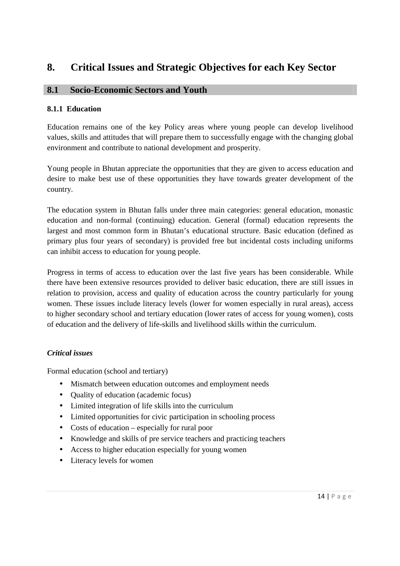### **8. Critical Issues and Strategic Objectives for each Key Sector**

### **8.1 Socio-Economic Sectors and Youth**

### **8.1.1 Education**

Education remains one of the key Policy areas where young people can develop livelihood values, skills and attitudes that will prepare them to successfully engage with the changing global environment and contribute to national development and prosperity.

Young people in Bhutan appreciate the opportunities that they are given to access education and desire to make best use of these opportunities they have towards greater development of the country.

The education system in Bhutan falls under three main categories: general education, monastic education and non-formal (continuing) education. General (formal) education represents the largest and most common form in Bhutan's educational structure. Basic education (defined as primary plus four years of secondary) is provided free but incidental costs including uniforms can inhibit access to education for young people.

Progress in terms of access to education over the last five years has been considerable. While there have been extensive resources provided to deliver basic education, there are still issues in relation to provision, access and quality of education across the country particularly for young women. These issues include literacy levels (lower for women especially in rural areas), access to higher secondary school and tertiary education (lower rates of access for young women), costs of education and the delivery of life-skills and livelihood skills within the curriculum.

### *Critical issues*

Formal education (school and tertiary)

- Mismatch between education outcomes and employment needs
- Quality of education (academic focus)
- Limited integration of life skills into the curriculum
- Limited opportunities for civic participation in schooling process
- Costs of education especially for rural poor
- Knowledge and skills of pre service teachers and practicing teachers
- Access to higher education especially for young women
- Literacy levels for women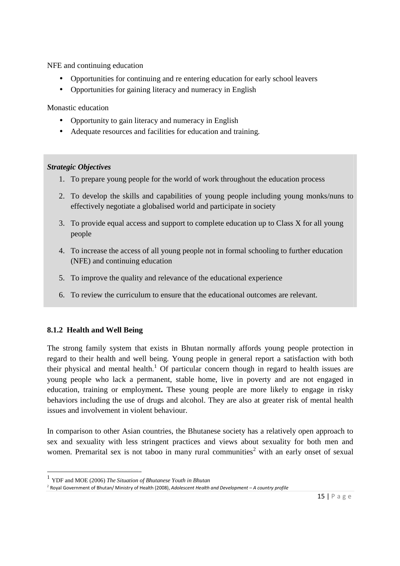NFE and continuing education

- Opportunities for continuing and re entering education for early school leavers
- Opportunities for gaining literacy and numeracy in English

Monastic education

- Opportunity to gain literacy and numeracy in English
- Adequate resources and facilities for education and training.

### *Strategic Objectives*

- 1. To prepare young people for the world of work throughout the education process
- 2. To develop the skills and capabilities of young people including young monks/nuns to effectively negotiate a globalised world and participate in society
- 3. To provide equal access and support to complete education up to Class X for all young people
- 4. To increase the access of all young people not in formal schooling to further education (NFE) and continuing education
- 5. To improve the quality and relevance of the educational experience
- 6. To review the curriculum to ensure that the educational outcomes are relevant.

### **8.1.2 Health and Well Being**

<u>.</u>

The strong family system that exists in Bhutan normally affords young people protection in regard to their health and well being. Young people in general report a satisfaction with both their physical and mental health.<sup>1</sup> Of particular concern though in regard to health issues are young people who lack a permanent, stable home, live in poverty and are not engaged in education, training or employment**.** These young people are more likely to engage in risky behaviors including the use of drugs and alcohol. They are also at greater risk of mental health issues and involvement in violent behaviour.

In comparison to other Asian countries, the Bhutanese society has a relatively open approach to sex and sexuality with less stringent practices and views about sexuality for both men and women. Premarital sex is not taboo in many rural communities<sup>2</sup> with an early onset of sexual

<sup>1</sup> YDF and MOE (2006) *The Situation of Bhutanese Youth in Bhutan*

<sup>2</sup> Royal Government of Bhutan/ Ministry of Health (2008), *Adolescent Health and Development – A country profile*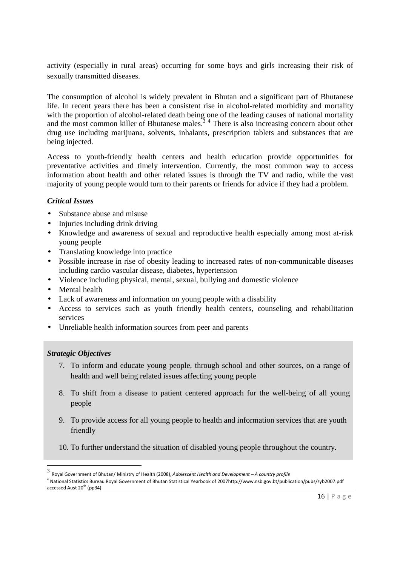activity (especially in rural areas) occurring for some boys and girls increasing their risk of sexually transmitted diseases.

The consumption of alcohol is widely prevalent in Bhutan and a significant part of Bhutanese life. In recent years there has been a consistent rise in alcohol-related morbidity and mortality with the proportion of alcohol-related death being one of the leading causes of national mortality and the most common killer of Bhutanese males.<sup>34</sup> There is also increasing concern about other drug use including marijuana, solvents, inhalants, prescription tablets and substances that are being injected.

Access to youth-friendly health centers and health education provide opportunities for preventative activities and timely intervention. Currently, the most common way to access information about health and other related issues is through the TV and radio, while the vast majority of young people would turn to their parents or friends for advice if they had a problem.

### *Critical Issues*

- Substance abuse and misuse
- Injuries including drink driving
- Knowledge and awareness of sexual and reproductive health especially among most at-risk young people
- Translating knowledge into practice
- Possible increase in rise of obesity leading to increased rates of non-communicable diseases including cardio vascular disease, diabetes, hypertension
- Violence including physical, mental, sexual, bullying and domestic violence
- Mental health
- Lack of awareness and information on young people with a disability
- Access to services such as youth friendly health centers, counseling and rehabilitation services
- Unreliable health information sources from peer and parents

### *Strategic Objectives*

<u>.</u>

- 7. To inform and educate young people, through school and other sources, on a range of health and well being related issues affecting young people
- 8. To shift from a disease to patient centered approach for the well-being of all young people
- 9. To provide access for all young people to health and information services that are youth friendly
- 10. To further understand the situation of disabled young people throughout the country.

4 National Statistics Bureau Royal Government of Bhutan Statistical Yearbook of 2007http://www.nsb.gov.bt/publication/pubs/syb2007.pdf accessed Aust  $20^{th}$  (pp34)

<sup>3</sup> Royal Government of Bhutan/ Ministry of Health (2008), *Adolescent Health and Development – A country profile*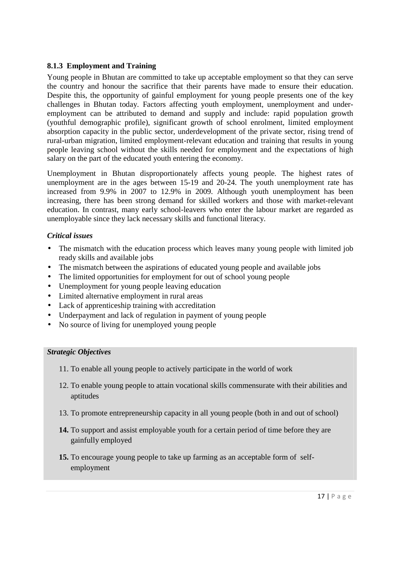### **8.1.3 Employment and Training**

Young people in Bhutan are committed to take up acceptable employment so that they can serve the country and honour the sacrifice that their parents have made to ensure their education. Despite this, the opportunity of gainful employment for young people presents one of the key challenges in Bhutan today. Factors affecting youth employment, unemployment and underemployment can be attributed to demand and supply and include: rapid population growth (youthful demographic profile), significant growth of school enrolment, limited employment absorption capacity in the public sector, underdevelopment of the private sector, rising trend of rural-urban migration, limited employment-relevant education and training that results in young people leaving school without the skills needed for employment and the expectations of high salary on the part of the educated youth entering the economy.

Unemployment in Bhutan disproportionately affects young people. The highest rates of unemployment are in the ages between 15-19 and 20-24. The youth unemployment rate has increased from 9.9% in 2007 to 12.9% in 2009. Although youth unemployment has been increasing, there has been strong demand for skilled workers and those with market-relevant education. In contrast, many early school-leavers who enter the labour market are regarded as unemployable since they lack necessary skills and functional literacy.

### *Critical issues*

- The mismatch with the education process which leaves many young people with limited job ready skills and available jobs
- The mismatch between the aspirations of educated young people and available jobs
- The limited opportunities for employment for out of school young people
- Unemployment for young people leaving education
- Limited alternative employment in rural areas
- Lack of apprenticeship training with accreditation
- Underpayment and lack of regulation in payment of young people
- No source of living for unemployed young people

#### *Strategic Objectives*

- 11. To enable all young people to actively participate in the world of work
- 12. To enable young people to attain vocational skills commensurate with their abilities and aptitudes
- 13. To promote entrepreneurship capacity in all young people (both in and out of school)
- **14.** To support and assist employable youth for a certain period of time before they are gainfully employed
- **15.** To encourage young people to take up farming as an acceptable form of selfemployment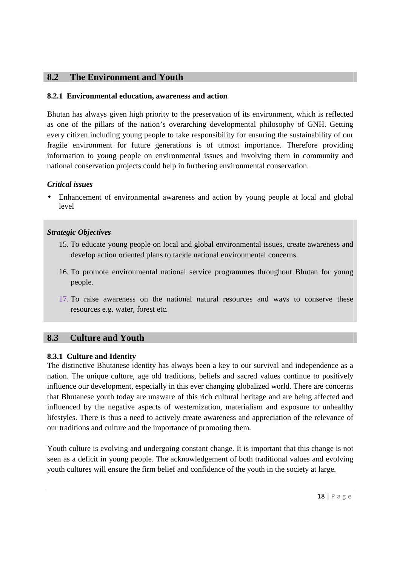### **8.2 The Environment and Youth**

### **8.2.1 Environmental education, awareness and action**

Bhutan has always given high priority to the preservation of its environment, which is reflected as one of the pillars of the nation's overarching developmental philosophy of GNH. Getting every citizen including young people to take responsibility for ensuring the sustainability of our fragile environment for future generations is of utmost importance. Therefore providing information to young people on environmental issues and involving them in community and national conservation projects could help in furthering environmental conservation.

### *Critical issues*

• Enhancement of environmental awareness and action by young people at local and global level

### *Strategic Objectives*

- 15. To educate young people on local and global environmental issues, create awareness and develop action oriented plans to tackle national environmental concerns.
- 16. To promote environmental national service programmes throughout Bhutan for young people.
- 17. To raise awareness on the national natural resources and ways to conserve these resources e.g. water, forest etc.

### **8.3 Culture and Youth**

#### **8.3.1 Culture and Identity**

The distinctive Bhutanese identity has always been a key to our survival and independence as a nation. The unique culture, age old traditions, beliefs and sacred values continue to positively influence our development, especially in this ever changing globalized world. There are concerns that Bhutanese youth today are unaware of this rich cultural heritage and are being affected and influenced by the negative aspects of westernization, materialism and exposure to unhealthy lifestyles. There is thus a need to actively create awareness and appreciation of the relevance of our traditions and culture and the importance of promoting them.

Youth culture is evolving and undergoing constant change. It is important that this change is not seen as a deficit in young people. The acknowledgement of both traditional values and evolving youth cultures will ensure the firm belief and confidence of the youth in the society at large.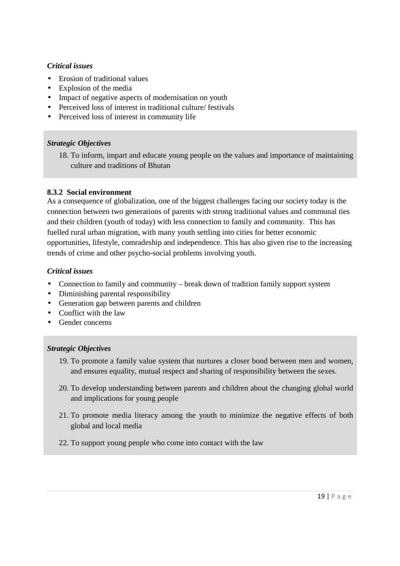### *Critical issues*

- Erosion of traditional values
- Explosion of the media
- Impact of negative aspects of modernisation on youth
- Perceived loss of interest in traditional culture/ festivals
- Perceived loss of interest in community life

### *Strategic Objectives*

18. To inform, impart and educate young people on the values and importance of maintaining culture and traditions of Bhutan

### **8.3.2 Social environment**

As a consequence of globalization, one of the biggest challenges facing our society today is the connection between two generations of parents with strong traditional values and communal ties and their children (youth of today) with less connection to family and community. This has fuelled rural urban migration, with many youth settling into cities for better economic opportunities, lifestyle, comradeship and independence. This has also given rise to the increasing trends of crime and other psycho-social problems involving youth.

#### *Critical issues*

- Connection to family and community break down of tradition family support system
- Diminishing parental responsibility
- Generation gap between parents and children
- Conflict with the law
- Gender concerns

### *Strategic Objectives*

- 19. To promote a family value system that nurtures a closer bond between men and women, and ensures equality, mutual respect and sharing of responsibility between the sexes.
- 20. To develop understanding between parents and children about the changing global world and implications for young people
- 21. To promote media literacy among the youth to minimize the negative effects of both global and local media
- 22. To support young people who come into contact with the law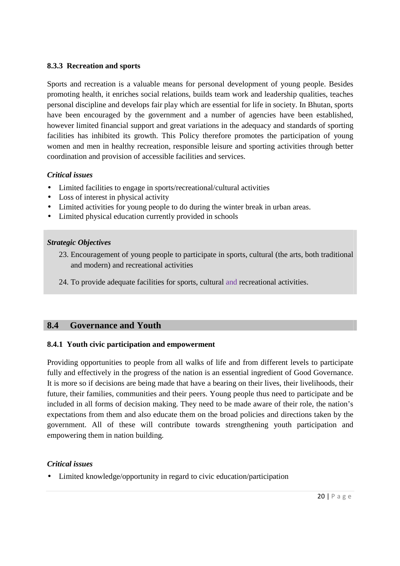### **8.3.3 Recreation and sports**

Sports and recreation is a valuable means for personal development of young people. Besides promoting health, it enriches social relations, builds team work and leadership qualities, teaches personal discipline and develops fair play which are essential for life in society. In Bhutan, sports have been encouraged by the government and a number of agencies have been established, however limited financial support and great variations in the adequacy and standards of sporting facilities has inhibited its growth. This Policy therefore promotes the participation of young women and men in healthy recreation, responsible leisure and sporting activities through better coordination and provision of accessible facilities and services.

### *Critical issues*

- Limited facilities to engage in sports/recreational/cultural activities
- Loss of interest in physical activity
- Limited activities for young people to do during the winter break in urban areas.
- Limited physical education currently provided in schools

### *Strategic Objectives*

- 23. Encouragement of young people to participate in sports, cultural (the arts, both traditional and modern) and recreational activities
- 24. To provide adequate facilities for sports, cultural and recreational activities.

### **8.4 Governance and Youth**

### **8.4.1 Youth civic participation and empowerment**

Providing opportunities to people from all walks of life and from different levels to participate fully and effectively in the progress of the nation is an essential ingredient of Good Governance. It is more so if decisions are being made that have a bearing on their lives, their livelihoods, their future, their families, communities and their peers. Young people thus need to participate and be included in all forms of decision making. They need to be made aware of their role, the nation's expectations from them and also educate them on the broad policies and directions taken by the government. All of these will contribute towards strengthening youth participation and empowering them in nation building.

### *Critical issues*

• Limited knowledge/opportunity in regard to civic education/participation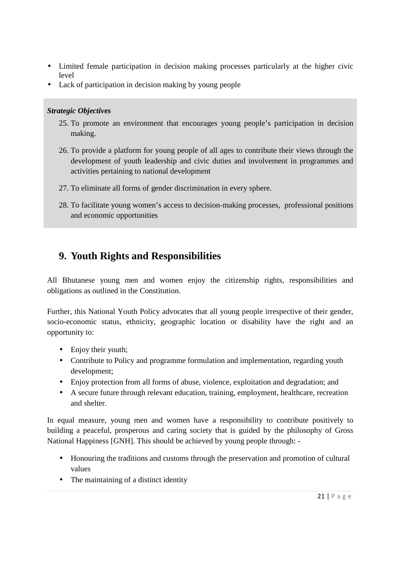- Limited female participation in decision making processes particularly at the higher civic level
- Lack of participation in decision making by young people

### *Strategic Objectives*

- 25. To promote an environment that encourages young people's participation in decision making.
- 26. To provide a platform for young people of all ages to contribute their views through the development of youth leadership and civic duties and involvement in programmes and activities pertaining to national development
- 27. To eliminate all forms of gender discrimination in every sphere.
- 28. To facilitate young women's access to decision-making processes, professional positions and economic opportunities

### **9. Youth Rights and Responsibilities**

All Bhutanese young men and women enjoy the citizenship rights, responsibilities and obligations as outlined in the Constitution.

Further, this National Youth Policy advocates that all young people irrespective of their gender, socio-economic status, ethnicity, geographic location or disability have the right and an opportunity to:

- Enjoy their youth;
- Contribute to Policy and programme formulation and implementation, regarding youth development;
- Enjoy protection from all forms of abuse, violence, exploitation and degradation; and
- A secure future through relevant education, training, employment, healthcare, recreation and shelter.

In equal measure, young men and women have a responsibility to contribute positively to building a peaceful, prosperous and caring society that is guided by the philosophy of Gross National Happiness [GNH]. This should be achieved by young people through: -

- Honouring the traditions and customs through the preservation and promotion of cultural values
- The maintaining of a distinct identity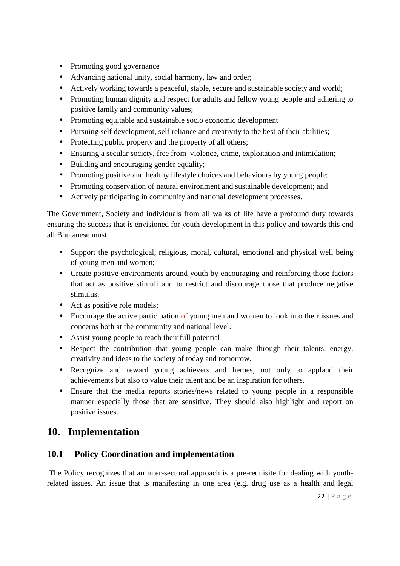- Promoting good governance
- Advancing national unity, social harmony, law and order;
- Actively working towards a peaceful, stable, secure and sustainable society and world;
- Promoting human dignity and respect for adults and fellow young people and adhering to positive family and community values;
- Promoting equitable and sustainable socio economic development
- Pursuing self development, self reliance and creativity to the best of their abilities;
- Protecting public property and the property of all others;
- Ensuring a secular society, free from violence, crime, exploitation and intimidation;
- Building and encouraging gender equality;
- Promoting positive and healthy lifestyle choices and behaviours by young people;
- Promoting conservation of natural environment and sustainable development; and
- Actively participating in community and national development processes.

The Government, Society and individuals from all walks of life have a profound duty towards ensuring the success that is envisioned for youth development in this policy and towards this end all Bhutanese must;

- Support the psychological, religious, moral, cultural, emotional and physical well being of young men and women;
- Create positive environments around youth by encouraging and reinforcing those factors that act as positive stimuli and to restrict and discourage those that produce negative stimulus.
- Act as positive role models;
- Encourage the active participation of young men and women to look into their issues and concerns both at the community and national level.
- Assist young people to reach their full potential
- Respect the contribution that young people can make through their talents, energy, creativity and ideas to the society of today and tomorrow.
- Recognize and reward young achievers and heroes, not only to applaud their achievements but also to value their talent and be an inspiration for others.
- Ensure that the media reports stories/news related to young people in a responsible manner especially those that are sensitive. They should also highlight and report on positive issues.

### **10. Implementation**

### **10.1 Policy Coordination and implementation**

 The Policy recognizes that an inter-sectoral approach is a pre-requisite for dealing with youthrelated issues. An issue that is manifesting in one area (e.g. drug use as a health and legal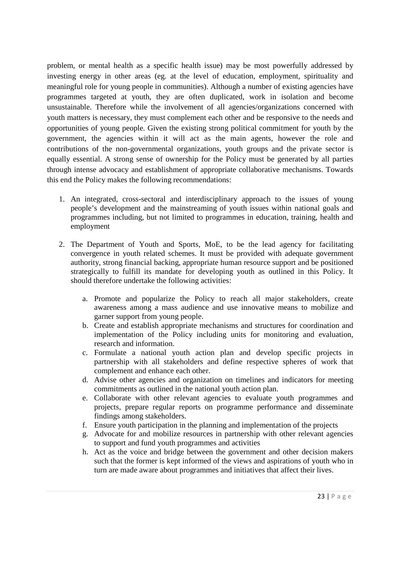problem, or mental health as a specific health issue) may be most powerfully addressed by investing energy in other areas (eg. at the level of education, employment, spirituality and meaningful role for young people in communities). Although a number of existing agencies have programmes targeted at youth, they are often duplicated, work in isolation and become unsustainable. Therefore while the involvement of all agencies/organizations concerned with youth matters is necessary, they must complement each other and be responsive to the needs and opportunities of young people. Given the existing strong political commitment for youth by the government, the agencies within it will act as the main agents, however the role and contributions of the non-governmental organizations, youth groups and the private sector is equally essential. A strong sense of ownership for the Policy must be generated by all parties through intense advocacy and establishment of appropriate collaborative mechanisms. Towards this end the Policy makes the following recommendations:

- 1. An integrated, cross-sectoral and interdisciplinary approach to the issues of young people's development and the mainstreaming of youth issues within national goals and programmes including, but not limited to programmes in education, training, health and employment
- 2. The Department of Youth and Sports, MoE, to be the lead agency for facilitating convergence in youth related schemes. It must be provided with adequate government authority, strong financial backing, appropriate human resource support and be positioned strategically to fulfill its mandate for developing youth as outlined in this Policy. It should therefore undertake the following activities:
	- a. Promote and popularize the Policy to reach all major stakeholders, create awareness among a mass audience and use innovative means to mobilize and garner support from young people.
	- b. Create and establish appropriate mechanisms and structures for coordination and implementation of the Policy including units for monitoring and evaluation, research and information.
	- c. Formulate a national youth action plan and develop specific projects in partnership with all stakeholders and define respective spheres of work that complement and enhance each other.
	- d. Advise other agencies and organization on timelines and indicators for meeting commitments as outlined in the national youth action plan.
	- e. Collaborate with other relevant agencies to evaluate youth programmes and projects, prepare regular reports on programme performance and disseminate findings among stakeholders.
	- f. Ensure youth participation in the planning and implementation of the projects
	- g. Advocate for and mobilize resources in partnership with other relevant agencies to support and fund youth programmes and activities
	- h. Act as the voice and bridge between the government and other decision makers such that the former is kept informed of the views and aspirations of youth who in turn are made aware about programmes and initiatives that affect their lives.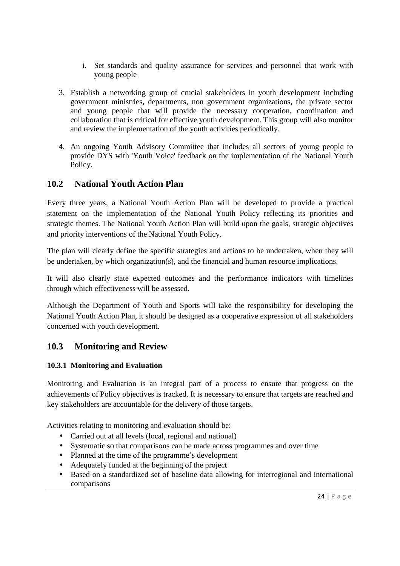- i. Set standards and quality assurance for services and personnel that work with young people
- 3. Establish a networking group of crucial stakeholders in youth development including government ministries, departments, non government organizations, the private sector and young people that will provide the necessary cooperation, coordination and collaboration that is critical for effective youth development. This group will also monitor and review the implementation of the youth activities periodically.
- 4. An ongoing Youth Advisory Committee that includes all sectors of young people to provide DYS with 'Youth Voice' feedback on the implementation of the National Youth Policy.

### **10.2 National Youth Action Plan**

Every three years, a National Youth Action Plan will be developed to provide a practical statement on the implementation of the National Youth Policy reflecting its priorities and strategic themes. The National Youth Action Plan will build upon the goals, strategic objectives and priority interventions of the National Youth Policy.

The plan will clearly define the specific strategies and actions to be undertaken, when they will be undertaken, by which organization(s), and the financial and human resource implications.

It will also clearly state expected outcomes and the performance indicators with timelines through which effectiveness will be assessed.

Although the Department of Youth and Sports will take the responsibility for developing the National Youth Action Plan, it should be designed as a cooperative expression of all stakeholders concerned with youth development.

### **10.3 Monitoring and Review**

### **10.3.1 Monitoring and Evaluation**

Monitoring and Evaluation is an integral part of a process to ensure that progress on the achievements of Policy objectives is tracked. It is necessary to ensure that targets are reached and key stakeholders are accountable for the delivery of those targets.

Activities relating to monitoring and evaluation should be:

- Carried out at all levels (local, regional and national)
- Systematic so that comparisons can be made across programmes and over time
- Planned at the time of the programme's development
- Adequately funded at the beginning of the project
- Based on a standardized set of baseline data allowing for interregional and international comparisons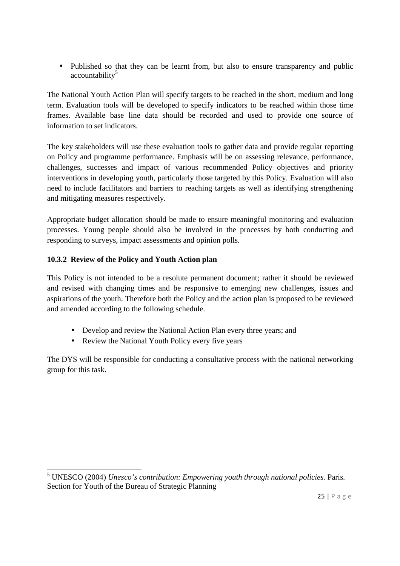• Published so that they can be learnt from, but also to ensure transparency and public accountability<sup>5</sup>

The National Youth Action Plan will specify targets to be reached in the short, medium and long term. Evaluation tools will be developed to specify indicators to be reached within those time frames. Available base line data should be recorded and used to provide one source of information to set indicators.

The key stakeholders will use these evaluation tools to gather data and provide regular reporting on Policy and programme performance. Emphasis will be on assessing relevance, performance, challenges, successes and impact of various recommended Policy objectives and priority interventions in developing youth, particularly those targeted by this Policy. Evaluation will also need to include facilitators and barriers to reaching targets as well as identifying strengthening and mitigating measures respectively.

Appropriate budget allocation should be made to ensure meaningful monitoring and evaluation processes. Young people should also be involved in the processes by both conducting and responding to surveys, impact assessments and opinion polls.

### **10.3.2 Review of the Policy and Youth Action plan**

This Policy is not intended to be a resolute permanent document; rather it should be reviewed and revised with changing times and be responsive to emerging new challenges, issues and aspirations of the youth. Therefore both the Policy and the action plan is proposed to be reviewed and amended according to the following schedule.

- Develop and review the National Action Plan every three years; and
- Review the National Youth Policy every five years

The DYS will be responsible for conducting a consultative process with the national networking group for this task.

<sup>&</sup>lt;u>.</u> 5 UNESCO (2004) *Unesco's contribution: Empowering youth through national policies.* Paris. Section for Youth of the Bureau of Strategic Planning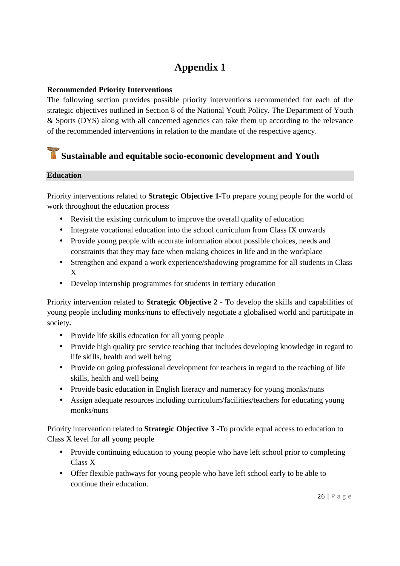# **Appendix 1**

### **Recommended Priority Interventions**

The following section provides possible priority interventions recommended for each of the strategic objectives outlined in Section 8 of the National Youth Policy. The Department of Youth & Sports (DYS) along with all concerned agencies can take them up according to the relevance of the recommended interventions in relation to the mandate of the respective agency.

# **Sustainable and equitable socio-economic development and Youth**

### **Education**

Priority interventions related to **Strategic Objective 1**-To prepare young people for the world of work throughout the education process

- Revisit the existing curriculum to improve the overall quality of education
- Integrate vocational education into the school curriculum from Class IX onwards
- Provide young people with accurate information about possible choices, needs and constraints that they may face when making choices in life and in the workplace
- Strengthen and expand a work experience/shadowing programme for all students in Class X
- Develop internship programmes for students in tertiary education

Priority intervention related to **Strategic Objective 2** - To develop the skills and capabilities of young people including monks/nuns to effectively negotiate a globalised world and participate in society**.** 

- Provide life skills education for all young people
- Provide high quality pre service teaching that includes developing knowledge in regard to life skills, health and well being
- Provide on going professional development for teachers in regard to the teaching of life skills, health and well being
- Provide basic education in English literacy and numeracy for young monks/nuns
- Assign adequate resources including curriculum/facilities/teachers for educating young monks/nuns

Priority intervention related to **Strategic Objective 3** -To provide equal access to education to Class X level for all young people

- Provide continuing education to young people who have left school prior to completing Class X
- Offer flexible pathways for young people who have left school early to be able to continue their education.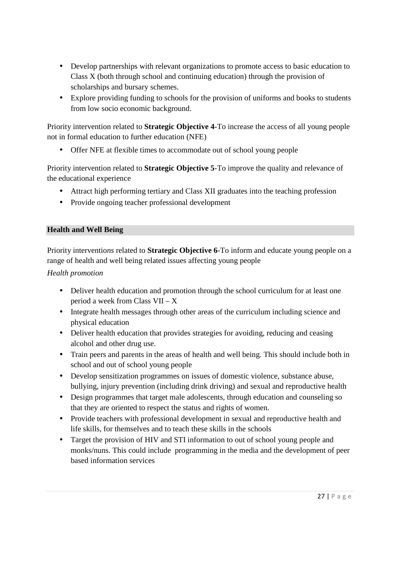- Develop partnerships with relevant organizations to promote access to basic education to Class X (both through school and continuing education) through the provision of scholarships and bursary schemes.
- Explore providing funding to schools for the provision of uniforms and books to students from low socio economic background.

Priority intervention related to **Strategic Objective 4**-To increase the access of all young people not in formal education to further education (NFE)

• Offer NFE at flexible times to accommodate out of school young people

Priority intervention related to **Strategic Objective 5**-To improve the quality and relevance of the educational experience

- Attract high performing tertiary and Class XII graduates into the teaching profession
- Provide ongoing teacher professional development

### **Health and Well Being**

Priority interventio*ns* related to **Strategic Objective 6**-To inform and educate young people on a range of health and well being related issues affecting young people

*Health promotion* 

- Deliver health education and promotion through the school curriculum for at least one period a week from Class VII – X
- Integrate health messages through other areas of the curriculum including science and physical education
- Deliver health education that provides strategies for avoiding, reducing and ceasing alcohol and other drug use.
- Train peers and parents in the areas of health and well being. This should include both in school and out of school young people
- Develop sensitization programmes on issues of domestic violence, substance abuse, bullying, injury prevention (including drink driving) and sexual and reproductive health
- Design programmes that target male adolescents, through education and counseling so that they are oriented to respect the status and rights of women.
- Provide teachers with professional development in sexual and reproductive health and life skills, for themselves and to teach these skills in the schools
- Target the provision of HIV and STI information to out of school young people and monks/nuns. This could include programming in the media and the development of peer based information services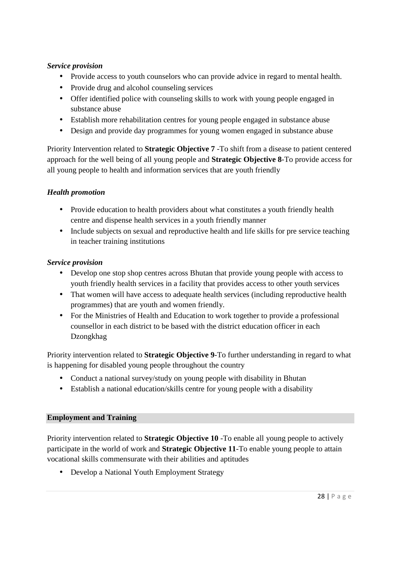### *Service provision*

- Provide access to youth counselors who can provide advice in regard to mental health.
- Provide drug and alcohol counseling services
- Offer identified police with counseling skills to work with young people engaged in substance abuse
- Establish more rehabilitation centres for young people engaged in substance abuse
- Design and provide day programmes for young women engaged in substance abuse

Priority Intervention related to **Strategic Objective 7** -To shift from a disease to patient centered approach for the well being of all young people and **Strategic Objective 8**-To provide access for all young people to health and information services that are youth friendly

### *Health promotion*

- Provide education to health providers about what constitutes a youth friendly health centre and dispense health services in a youth friendly manner
- Include subjects on sexual and reproductive health and life skills for pre service teaching in teacher training institutions

### *Service provision*

- Develop one stop shop centres across Bhutan that provide young people with access to youth friendly health services in a facility that provides access to other youth services
- That women will have access to adequate health services (including reproductive health programmes) that are youth and women friendly.
- For the Ministries of Health and Education to work together to provide a professional counsellor in each district to be based with the district education officer in each Dzongkhag

Priority intervention related to **Strategic Objective 9**-To further understanding in regard to what is happening for disabled young people throughout the country

- Conduct a national survey/study on young people with disability in Bhutan
- Establish a national education/skills centre for young people with a disability

### **Employment and Training**

Priority intervention related to **Strategic Objective 10** -To enable all young people to actively participate in the world of work and **Strategic Objective 11**-To enable young people to attain vocational skills commensurate with their abilities and aptitudes

• Develop a National Youth Employment Strategy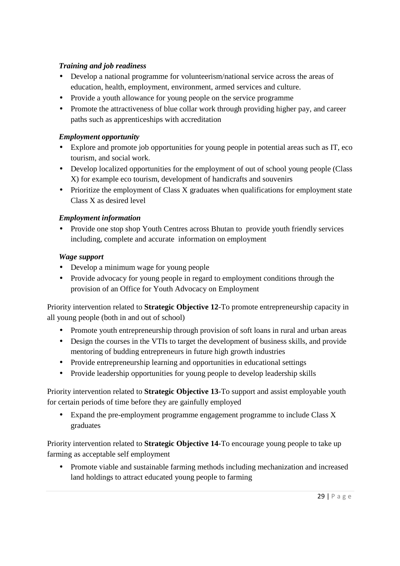### *Training and job readiness*

- Develop a national programme for volunteerism/national service across the areas of education, health, employment, environment, armed services and culture.
- Provide a youth allowance for young people on the service programme
- Promote the attractiveness of blue collar work through providing higher pay, and career paths such as apprenticeships with accreditation

### *Employment opportunity*

- Explore and promote job opportunities for young people in potential areas such as IT, eco tourism, and social work.
- Develop localized opportunities for the employment of out of school young people (Class X) for example eco tourism, development of handicrafts and souvenirs
- Prioritize the employment of Class X graduates when qualifications for employment state Class X as desired level

### *Employment information*

• Provide one stop shop Youth Centres across Bhutan to provide youth friendly services including, complete and accurate information on employment

### *Wage support*

- Develop a minimum wage for young people
- Provide advocacy for young people in regard to employment conditions through the provision of an Office for Youth Advocacy on Employment

Priority intervention related to **Strategic Objective 12**-To promote entrepreneurship capacity in all young people (both in and out of school)

- Promote youth entrepreneurship through provision of soft loans in rural and urban areas
- Design the courses in the VTIs to target the development of business skills, and provide mentoring of budding entrepreneurs in future high growth industries
- Provide entrepreneurship learning and opportunities in educational settings
- Provide leadership opportunities for young people to develop leadership skills

Priority intervention related to **Strategic Objective 13**-To support and assist employable youth for certain periods of time before they are gainfully employed

• Expand the pre-employment programme engagement programme to include Class X graduates

Priority intervention related to **Strategic Objective 14**-To encourage young people to take up farming as acceptable self employment

• Promote viable and sustainable farming methods including mechanization and increased land holdings to attract educated young people to farming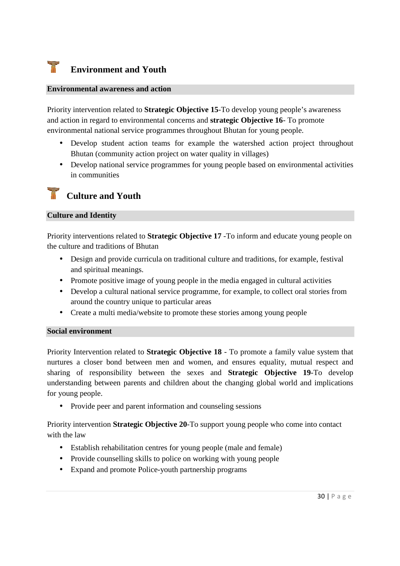#### ٣ **Environment and Youth**

#### **Environmental awareness and action**

Priority intervention related to **Strategic Objective 15**-To develop young people's awareness and action in regard to environmental concerns and **strategic Objective 16**- To promote environmental national service programmes throughout Bhutan for young people.

- Develop student action teams for example the watershed action project throughout Bhutan (community action project on water quality in villages)
- Develop national service programmes for young people based on environmental activities in communities

### **Culture and Youth**

#### **Culture and Identity**

Priority interventions related to **Strategic Objective 17** -To inform and educate young people on the culture and traditions of Bhutan

- Design and provide curricula on traditional culture and traditions, for example, festival and spiritual meanings.
- Promote positive image of young people in the media engaged in cultural activities
- Develop a cultural national service programme, for example, to collect oral stories from around the country unique to particular areas
- Create a multi media/website to promote these stories among young people

#### **Social environment**

Priority Intervention related to **Strategic Objective 18** - To promote a family value system that nurtures a closer bond between men and women, and ensures equality, mutual respect and sharing of responsibility between the sexes and **Strategic Objective 19**-To develop understanding between parents and children about the changing global world and implications for young people.

• Provide peer and parent information and counseling sessions

Priority intervention **Strategic Objective 20**-To support young people who come into contact with the law

- Establish rehabilitation centres for young people (male and female)
- Provide counselling skills to police on working with young people
- Expand and promote Police-youth partnership programs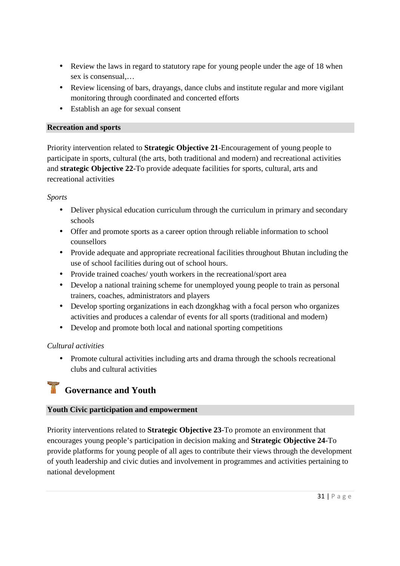- Review the laws in regard to statutory rape for young people under the age of 18 when sex is consensual,…
- Review licensing of bars, drayangs, dance clubs and institute regular and more vigilant monitoring through coordinated and concerted efforts
- Establish an age for sexual consent

### **Recreation and sports**

Priority intervention related to **Strategic Objective 21**-Encouragement of young people to participate in sports, cultural (the arts, both traditional and modern) and recreational activities and **strategic Objective 22**-To provide adequate facilities for sports, cultural, arts and recreational activities

### *Sports*

- Deliver physical education curriculum through the curriculum in primary and secondary schools
- Offer and promote sports as a career option through reliable information to school counsellors
- Provide adequate and appropriate recreational facilities throughout Bhutan including the use of school facilities during out of school hours.
- Provide trained coaches/ youth workers in the recreational/sport area
- Develop a national training scheme for unemployed young people to train as personal trainers, coaches, administrators and players
- Develop sporting organizations in each dzongkhag with a focal person who organizes activities and produces a calendar of events for all sports (traditional and modern)
- Develop and promote both local and national sporting competitions

### *Cultural activities*

• Promote cultural activities including arts and drama through the schools recreational clubs and cultural activities

# **Governance and Youth**

### **Youth Civic participation and empowerment**

Priority interventions related to **Strategic Objective 23**-To promote an environment that encourages young people's participation in decision making and **Strategic Objective 24**-To provide platforms for young people of all ages to contribute their views through the development of youth leadership and civic duties and involvement in programmes and activities pertaining to national development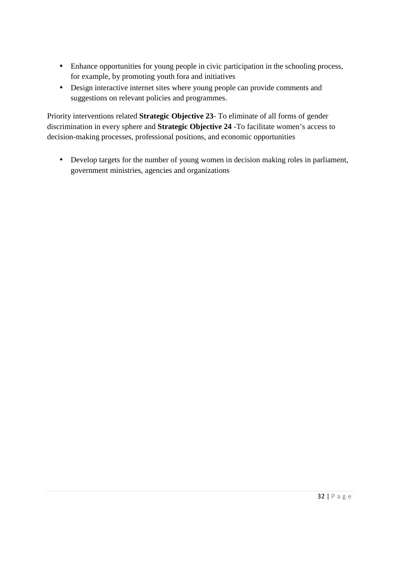- Enhance opportunities for young people in civic participation in the schooling process, for example, by promoting youth fora and initiatives
- Design interactive internet sites where young people can provide comments and suggestions on relevant policies and programmes.

Priority interventions related **Strategic Objective 23**- To eliminate of all forms of gender discrimination in every sphere and **Strategic Objective 24** -To facilitate women's access to decision-making processes, professional positions, and economic opportunities

• Develop targets for the number of young women in decision making roles in parliament, government ministries, agencies and organizations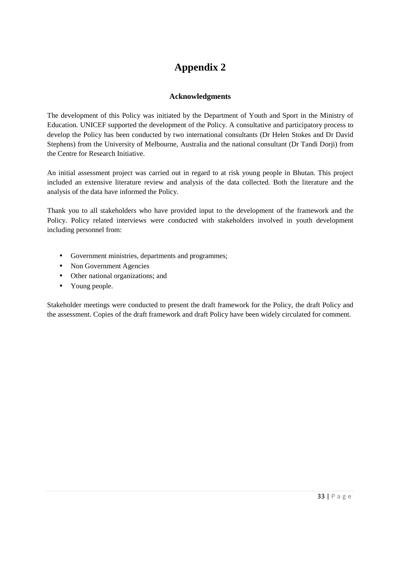### **Appendix 2**

### **Acknowledgments**

The development of this Policy was initiated by the Department of Youth and Sport in the Ministry of Education. UNICEF supported the development of the Policy. A consultative and participatory process to develop the Policy has been conducted by two international consultants (Dr Helen Stokes and Dr David Stephens) from the University of Melbourne, Australia and the national consultant (Dr Tandi Dorji) from the Centre for Research Initiative.

An initial assessment project was carried out in regard to at risk young people in Bhutan. This project included an extensive literature review and analysis of the data collected. Both the literature and the analysis of the data have informed the Policy.

Thank you to all stakeholders who have provided input to the development of the framework and the Policy. Policy related interviews were conducted with stakeholders involved in youth development including personnel from:

- Government ministries, departments and programmes;
- Non Government Agencies
- Other national organizations; and
- Young people.

Stakeholder meetings were conducted to present the draft framework for the Policy, the draft Policy and the assessment. Copies of the draft framework and draft Policy have been widely circulated for comment.